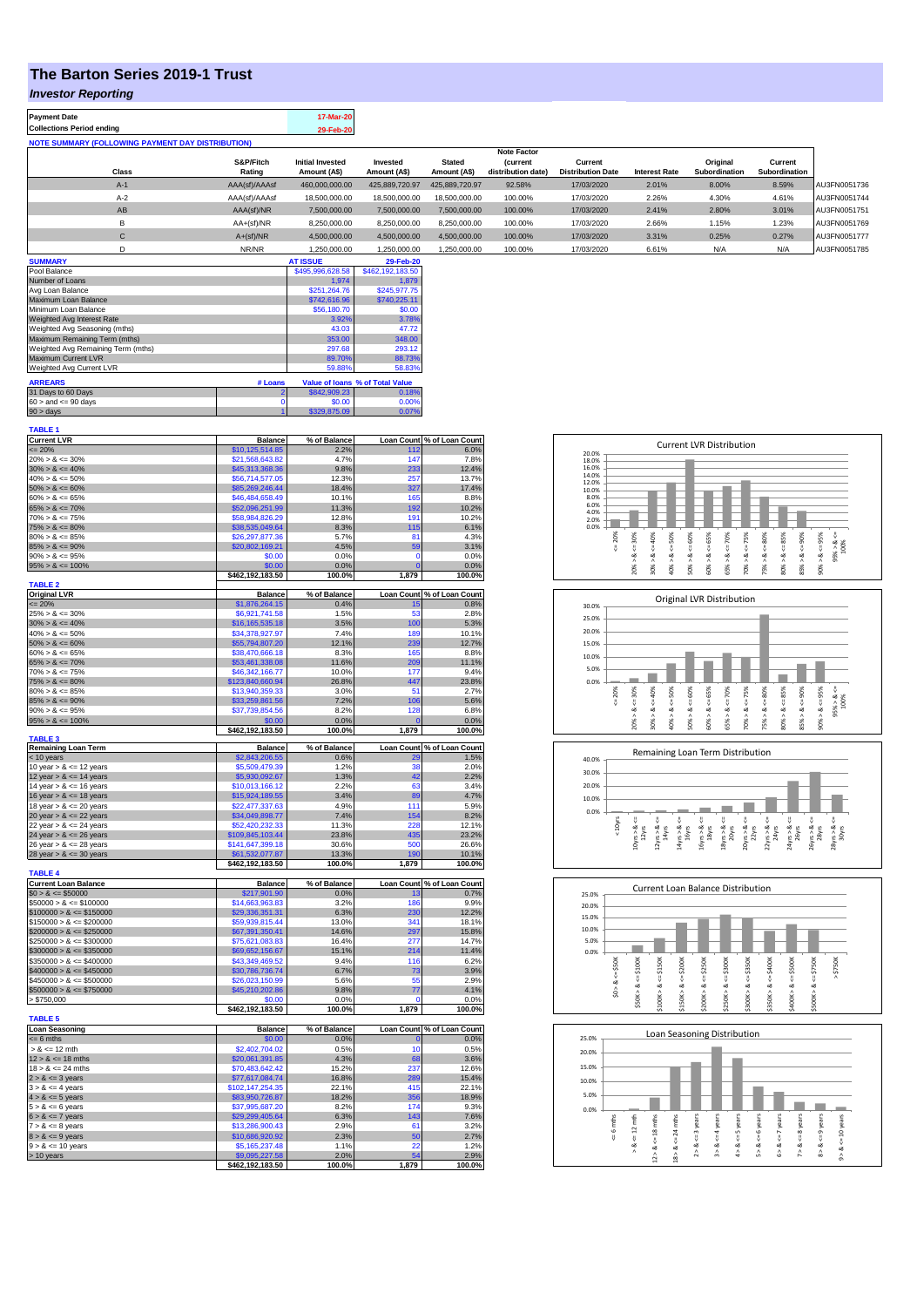## **The Barton Series 2019-1 Trust**

### *Investor Reporting*

**Payment Date 17-Mar-20 Collections Period ending 29-Feb-2** 

| <b>NOTE SUMMARY (FOLLOWING PAYMENT DAY DISTRIBUTION)</b> |                     |                                         |                          |                               |                                       |                                     |                      |                           |                          |              |
|----------------------------------------------------------|---------------------|-----------------------------------------|--------------------------|-------------------------------|---------------------------------------|-------------------------------------|----------------------|---------------------------|--------------------------|--------------|
|                                                          |                     |                                         |                          |                               | <b>Note Factor</b>                    |                                     |                      |                           |                          |              |
| <b>Class</b>                                             | S&P/Fitch<br>Rating | <b>Initial Invested</b><br>Amount (A\$) | Invested<br>Amount (A\$) | <b>Stated</b><br>Amount (A\$) | <b>(current</b><br>distribution date) | Current<br><b>Distribution Date</b> | <b>Interest Rate</b> | Original<br>Subordination | Current<br>Subordination |              |
| $A-1$                                                    | AAA(sf)/AAAsf       | 460,000,000.00                          | 425.889.720.97           | 425.889.720.97                | 92.58%                                | 17/03/2020                          | 2.01%                | 8.00%                     | 8.59%                    | AU3FN0051736 |
| $A-2$                                                    | AAA(sf)/AAAsf       | 18,500,000.00                           | 18,500,000,00            | 18,500,000.00                 | 100.00%                               | 17/03/2020                          | 2.26%                | 4.30%                     | 4.61%                    | AU3FN0051744 |
| AB                                                       | AAA(sf)/NR          | 7,500,000.00                            | 7.500.000.00             | 7.500.000.00                  | 100.00%                               | 17/03/2020                          | 2.41%                | 2.80%                     | 3.01%                    | AU3FN0051751 |
| B                                                        | $AA+(sf)/NR$        | 8,250,000.00                            | 8.250.000.00             | 8.250.000.00                  | 100.00%                               | 17/03/2020                          | 2.66%                | 1.15%                     | 1.23%                    | AU3FN0051769 |
| С                                                        | $A+(sf)/NR$         | 4,500,000.00                            | 4,500,000.00             | 4,500,000.00                  | 100.00%                               | 17/03/2020                          | 3.31%                | 0.25%                     | 0.27%                    | AU3FN0051777 |
|                                                          | NR/NR               | 1,250,000.00                            | 1,250,000.00             | 1,250,000.00                  | 100.00%                               | 17/03/2020                          | 6.61%                | N/A                       | N/A                      | AU3FN0051785 |

| <b>SUMMARY</b>                     |         | <b>AT ISSUE</b>  | 29-Feb-20                       |
|------------------------------------|---------|------------------|---------------------------------|
| Pool Balance                       |         | \$495,996,628.58 | \$462.192.183.50                |
| Number of Loans                    |         | 1.974            | 1.879                           |
| Avg Loan Balance                   |         | \$251.264.76     | \$245,977.75                    |
| Maximum Loan Balance               |         | \$742,616.96     | \$740,225.11                    |
| Minimum Loan Balance               |         | \$56,180.70      | \$0.00                          |
| Weighted Avg Interest Rate         |         | 3.92%            | 3.78%                           |
| Weighted Avg Seasoning (mths)      |         | 43.03            | 47.72                           |
| Maximum Remaining Term (mths)      |         | 353.00           | 348.00                          |
| Weighted Avg Remaining Term (mths) | 297.68  | 293.12           |                                 |
| Maximum Current LVR                |         | 89.70%           | 88.73%                          |
| Weighted Avg Current LVR           |         | 59.88%           | 58.83%                          |
| <b>ARREARS</b>                     | # Loans |                  | Value of Ioans % of Total Value |
| 31 Days to 60 Days                 |         | \$842,909.23     | 0.18%                           |
| $60 >$ and $\leq 90$ days          |         | \$0.00           | 0.00%                           |
| $90 >$ days                        |         | \$329,875.09     | 0.07%                           |

| <b>TABLE 1</b>                             |                                     |                |                   |                            |
|--------------------------------------------|-------------------------------------|----------------|-------------------|----------------------------|
| <b>Current LVR</b>                         | <b>Balance</b>                      | % of Balance   |                   | Loan Count % of Loan Count |
| $= 20%$                                    | \$10,125,514.85                     | 2.2%           | 112               | 6.0%                       |
| $20\% > 8 \le 30\%$                        | \$21,568,643.82                     | 4.7%           | 147               | 7.8%                       |
| $30\% > 8 \le 40\%$                        | \$45,313,368.36                     | 9.8%           | 233               | 12.4%                      |
| $40\% > 8 \le 50\%$                        | \$56,714,577.05                     | 12.3%          | 257               | 13.7%                      |
| $50\% > 8 \le 60\%$<br>$60\% > 8 \le 65\%$ | \$85,269,246.44<br>\$46,484,658.49  | 18.4%<br>10.1% | 327<br>165        | 17.4%<br>8.8%              |
| $65\% > 8 \le 70\%$                        | \$52,096,251.99                     | 11.3%          | 192               | 10.2%                      |
| $70\% > 8 \le 75\%$                        | \$58,984,826.29                     | 12.8%          | 191               | 10.2%                      |
| $75\% > 8 \le 80\%$                        | \$38,535,049.64                     | 8.3%           | 115               | 6.1%                       |
| $80\% > 8 \le 85\%$                        | \$26,297,877.36                     | 5.7%           | 81                | 4.3%                       |
| $85\% > 8 \le 90\%$                        | \$20,802,169.21                     | 4.5%           | 59                | 3.1%                       |
| $90\% > 8 \le 95\%$                        | \$0.00                              | 0.0%           | $\mathbf 0$       | 0.0%                       |
| $95\% > 8 \le 100\%$                       | \$0.00                              | 0.0%           | $\overline{0}$    | 0.0%                       |
|                                            | \$462,192,183.50                    | 100.0%         | 1,879             | 100.0%                     |
| <b>TABLE 2</b>                             |                                     |                |                   |                            |
| <b>Original LVR</b>                        | <b>Balance</b>                      | % of Balance   |                   | Loan Count % of Loan Count |
| $\leq$ 20%                                 | \$1,876,264.15                      | 0.4%           | 15                | 0.8%                       |
| $25\% > 8 \le 30\%$                        | \$6,921,741.58                      | 1.5%           | 53                | 2.8%                       |
| $30\% > 8 \le 40\%$                        | \$16,165,535.18                     | 3.5%           | 100               | 5.3%                       |
| $40\% > 8 \le 50\%$                        | \$34,378,927.97                     | 7.4%           | 189               | 10.1%                      |
| $50\% > 8 \le 60\%$                        | \$55,794,807.20                     | 12.1%          | 239               | 12.7%                      |
| $60\% > 8 \le 65\%$                        | \$38,470,666.18                     | 8.3%           | 165               | 8.8%                       |
| $65\% > 8 \le 70\%$                        | \$53,461,338.08                     | 11.6%          | 209               | 11.1%                      |
| $70\% > 8 \le 75\%$                        | \$46,342,166.77                     | 10.0%          | 177               | 9.4%                       |
| $75\% > 8 \le 80\%$<br>$80\% > 8 \le 85\%$ | \$123,840,660.94<br>\$13,940,359.33 | 26.8%<br>3.0%  | 447<br>51         | 23.8%<br>2.7%              |
|                                            |                                     |                | 106               | 5.6%                       |
| $85\% > 8 \le 90\%$<br>$90\% > 8 \le 95\%$ | \$33,259,861.56                     | 7.2%<br>8.2%   | 128               | 6.8%                       |
| $95\% > 8 \le 100\%$                       | \$37,739,854.56<br>\$0.00           | 0.0%           |                   | 0.0%                       |
|                                            | \$462,192,183.50                    | 100.0%         | 1,879             | 100.0%                     |
| <b>TABLE 3</b>                             |                                     |                |                   |                            |
| <b>Remaining Loan Term</b>                 | <b>Balance</b>                      | % of Balance   | <b>Loan Count</b> | % of Loan Count            |
| < 10 years                                 | \$2,843,206.55                      | 0.6%           |                   | 1.5%                       |
| 10 year $> 8 \le 12$ years                 | \$5,509,479.39                      | 1.2%           | 38                | 2.0%                       |
| 12 year $> 8 \le 14$ years                 | \$5,930,092.67                      | 1.3%           | 42                | 2.2%                       |
| 14 year $> 8 \le 16$ years                 | \$10,013,166.12                     | 2.2%           | 63                | 3.4%                       |
| 16 year $> 8 \le 18$ years                 | \$15,924,189.55                     | 3.4%           | 89                | 4.7%                       |
| 18 year $> 8 \le 20$ years                 | \$22,477,337,63                     | 4.9%           | 111               | 5.9%                       |
| 20 year $> 8 \le 22$ years                 | \$34,049,898.77                     | 7.4%           | 154               | 8.2%                       |
| 22 year $> 8 \le 24$ years                 | \$52,420,232.33                     | 11.3%          | 228               | 12.1%                      |
| 24 year $> 8 \le 26$ years                 | \$109,845,103.44                    | 23.8%          | 435               | 23.2%                      |
| 26 year $> 8 \le 28$ years                 | \$141,647,399.18                    | 30.6%          | 500               | 26.6%                      |
| 28 year $> 8 <$ = 30 years                 | \$61,532,077.87                     | 13.3%          | 190               | 10.1%                      |
| <b>TABLE 4</b>                             | \$462,192,183.50                    | 100.0%         | 1,879             | 100.0%                     |
| <b>Current Loan Balance</b>                | <b>Balance</b>                      | % of Balance   |                   | Loan Count % of Loan Count |
| $$0 > 8 \le $50000$                        | \$217,901.90                        | 0.0%           | 13                | 0.7%                       |
| $$50000 > 8 \le $100000$                   | \$14,663,963.83                     | 3.2%           | 186               | 9.9%                       |
| $$100000 > 8 \le $150000$                  | \$29,336,351.31                     | 6.3%           | 230               | 12.2%                      |
| $$150000 > 8 \le $200000$                  | \$59,939,815.44                     | 13.0%          | 341               | 18.1%                      |
| $$200000 > 8 \leq $250000$                 | \$67,391,350.41                     | 14.6%          | 297               | 15.8%                      |
| $$250000 > 8 \leq $300000$                 | \$75,621,083.83                     | 16.4%          | 277               | 14.7%                      |
| $$300000 > 8 \le $350000$                  | \$69,652,156.67                     | 15.1%          | 214               | 11.4%                      |
| $$350000 > 8 \le $400000$                  | \$43,349,469.52                     | 9.4%           | 116               | 6.2%                       |
| $$400000 > 8 \le $450000$                  | \$30,786,736.74                     | 6.7%           | 73                | 3.9%                       |
| $$450000 > 8 \leq $500000$                 | \$26,023,150,99                     | 5.6%           | 55                | 2.9%                       |
| $$500000 > 8 \le $750000$                  | \$45,210,202.86                     | 9.8%           | 77                | 4.1%                       |
| > \$750,000                                | \$0.00                              | 0.0%           | O                 | 0.0%                       |
|                                            | \$462,192,183.50                    | 100.0%         | 1,879             | 100.0%                     |
| <b>TABLE 5</b>                             |                                     |                |                   |                            |
| <b>Loan Seasoning</b>                      | <b>Balance</b>                      | % of Balance   |                   | Loan Count % of Loan Count |
| $= 6$ mths                                 | \$0.00                              | 0.0%           | $\mathbf 0$       | 0.0%                       |
| $> 8 \le 12$ mth                           | \$2,402,704.02                      | 0.5%           | 10                | 0.5%                       |
| $12 > 8 \le 18$ mths                       | \$20,061,391.85                     | 4.3%           | 68                | 3.6%                       |
| $18 > 8 \le 24$ mths                       | \$70,483,642.42                     | 15.2%          | 237<br>289        | 12.6%<br>15.4%             |
| $2 > 8 \le 3$ years<br>$3 > 8 \le 4$ years | \$77,617,084.74<br>\$102,147,254.35 | 16.8%<br>22.1% | 415               | 22.1%                      |
|                                            |                                     | 18.2%          | 356               | 18.9%                      |
| $4 > 8 \le 5$ years<br>$5 > 8 \le 6$ years | \$83,950,726.87<br>\$37,995,687.20  | 8.2%           | 174               | 9.3%                       |
| $6 > 8 \le 7$ years                        | \$29,299,405.64                     | 6.3%           | 143               | 7.6%                       |
| $7 > 8 \le 8$ years                        | \$13,286,900.43                     | 2.9%           | 61                | 3.2%                       |
| $8 > 8 \le 9$ years                        | \$10,686,920.92                     | 2.3%           | 50                | 2.7%                       |
| $9 > 8 \le 10$ years                       | \$5,165,237.48                      | 1.1%           | 22                | 1.2%                       |
| > 10 years                                 | \$9,095,227.58                      | 2.0%           | 54                | 2.9%                       |
|                                            | \$462,192,183.50                    | 100.0%         | 1,879             | 100.0%                     |
|                                            |                                     |                |                   |                            |



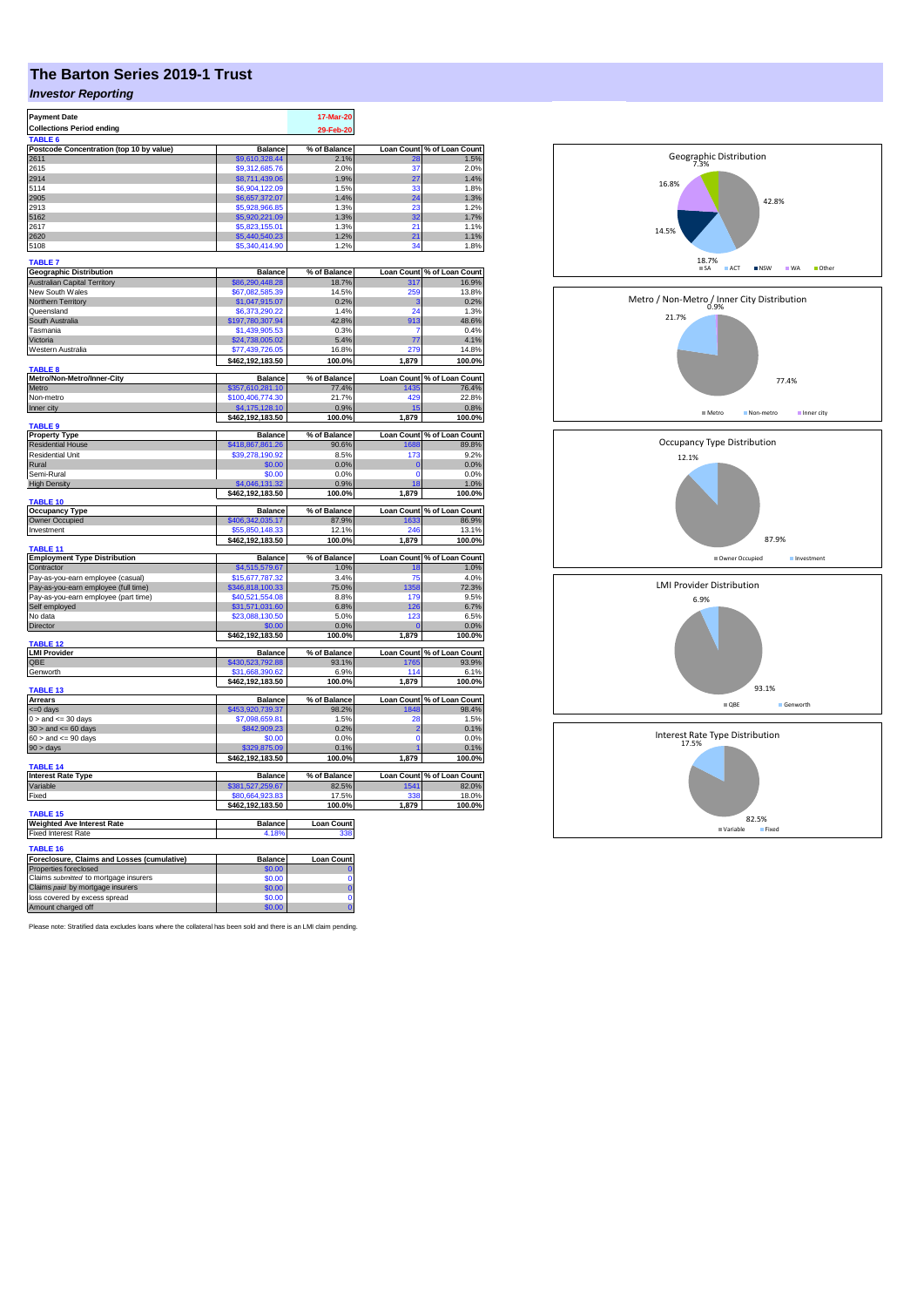# **The Barton Series 2019-1 Trust**

## *Investor Reporting*

| <b>Payment Date</b>                                               |                                    | 17-Mar-20         |                   |                            |
|-------------------------------------------------------------------|------------------------------------|-------------------|-------------------|----------------------------|
|                                                                   |                                    |                   |                   |                            |
| <b>Collections Period ending</b>                                  |                                    | 29-Feb-20         |                   |                            |
| TABLE 6                                                           |                                    |                   |                   |                            |
| Postcode Concentration (top 10 by value)                          | <b>Balance</b>                     | % of Balance      | <b>Loan Count</b> | of Loan Count<br>1.5%      |
| 2611                                                              | \$9,610,328.44                     | 2.1%              | 37                |                            |
| 2615                                                              | \$9.312,685.76                     | 2.0%              |                   | 2.0%<br>1.4%               |
| 2914                                                              | \$8,711,439.06                     | 1.9%              | 27                |                            |
| 5114                                                              | \$6,904,122.09                     | 1.5%              | 33                | 1.8%                       |
| 2905                                                              | \$6,657,372.07                     | 1.4%              | 24                | 1.3%                       |
| 2913                                                              | \$5,928,966.85                     | 1.3%              | 23                | 1.2%                       |
| 5162                                                              | \$5,920,221.09                     | 1.3%              | 32                | 1.7%                       |
| 2617                                                              | \$5,823,155.01                     | 1.3%              | 21                | 1.1%                       |
| 2620                                                              | \$5,440,540.23                     | 1.2%              | 21                | 1.1%                       |
| 5108                                                              | \$5,340,414.90                     | 1.2%              | 34                | 1.8%                       |
| <b>TABLE 7</b>                                                    |                                    |                   |                   |                            |
| <b>Geographic Distribution</b>                                    | <b>Balance</b>                     | % of Balance      | <b>Loan Count</b> | % of Loan Count            |
|                                                                   |                                    |                   |                   |                            |
| <b>Australian Capital Territory</b>                               | \$86,290,448.28<br>\$67,082,585.39 | 18.7%<br>14.5%    | 317<br>259        | 16.9%<br>13.8%             |
| New South Wales                                                   |                                    |                   |                   |                            |
| Northern Territory                                                | \$1,047,915.07                     | 0.2%              | з                 | 0.2%                       |
| Queensland                                                        | \$6,373,290.22                     | 1.4%              | 24                | 1.3%                       |
| South Australia                                                   | \$197,780,307.94                   | 42.8%             | 913               | 48.6%                      |
| Tasmania                                                          | \$1,439,905.53                     | 0.3%              | 7                 | 0.4%                       |
| Victoria                                                          | \$24,738,005.02                    | 5.4%              | 77                | 4.1%                       |
| Western Australia                                                 | \$77,439,726.05                    | 16.8%             | 279               | 14.8%                      |
|                                                                   | \$462,192,183.50                   | 100.0%            | 1,879             | 100.0%                     |
| TABLE 8                                                           |                                    |                   |                   |                            |
| Metro/Non-Metro/Inner-City                                        | <b>Balance</b>                     | % of Balance      | <b>Loan Count</b> | % of Loan Count            |
| Metro                                                             | \$357,610,281.10                   | 77.4%             | 1435              | 76.4%                      |
| Non-metro                                                         | \$100,406,774.30                   | 21.7%             | 429               | 22.8%                      |
| Inner city                                                        | \$4,175,128.10                     | 0.9%              |                   | 0.8%                       |
|                                                                   | \$462,192,183.50                   | 100.0%            | 1,879             | 100.0%                     |
| <b>TABLE 9</b>                                                    |                                    |                   |                   |                            |
| <b>Property Type</b>                                              | <b>Balance</b>                     | % of Balance      | <b>Loan Count</b> | % of Loan Count            |
| <b>Residential House</b>                                          | 418,867,861.26                     | 90.6%             | 1688              | 89.8%                      |
| <b>Residential Unit</b>                                           | \$39,278,190.92                    | 8.5%              | 173               | 9.2%                       |
| Rural                                                             | \$0.00                             | 0.0%              | $\mathbf 0$       | 0.0%                       |
| Semi-Rural                                                        | \$0.00                             | 0.0%              | $\mathbf 0$       | 0.0%                       |
| <b>High Density</b>                                               | 4,046,131.32                       | 0.9%              | 18                | 1.0%                       |
|                                                                   | \$462,192,183.50                   | 100.0%            | 1,879             | 100.0%                     |
| <b>TABLE 10</b>                                                   |                                    |                   |                   |                            |
|                                                                   |                                    |                   |                   |                            |
| <b>Occupancy Type</b>                                             | <b>Balance</b>                     | % of Balance      | <b>Loan Count</b> | % of Loan Count            |
| Owner Occupied                                                    | \$406,342,035.17                   | 87.9%             | 1633              | 86.9%                      |
| Investment                                                        | \$55,850,148.33                    | 12.1%             | 246               | 13.1%                      |
|                                                                   | \$462,192,183.50                   | 100.0%            | 1,879             | 100.0%                     |
| TABLE 11                                                          |                                    |                   |                   |                            |
| <b>Employment Type Distribution</b>                               | <b>Balance</b>                     | % of Balance      | Loan Count        | % of Loan Count            |
| Contractor                                                        | \$4,515,579.67                     | 1.0%              | 18                | 1.0%                       |
| Pay-as-you-earn employee (casual)                                 | \$15,677,787.32                    | 3.4%              | 75                | 4.0%                       |
| Pay-as-you-earn employee (full time)                              | 346,818,100.33                     | 75.0%             | 358               | 72.3%                      |
| Pay-as-you-earn employee (part time)                              | \$40,521,554.08                    | 8.8%              | <b>179</b>        | 9.5%                       |
| Self employed                                                     | \$31,571,031.60                    | 6.8%              | 126               | 6.7%                       |
| No data                                                           | \$23,088,130.50                    | 5.0%              | 123               | 6.5%                       |
| Director                                                          | \$0.00                             | 0.0%              | C                 | 0.0%                       |
|                                                                   | \$462,192,183.50                   | 100.0%            | 1,879             | 100.0%                     |
| <b>TABLE 12</b>                                                   |                                    |                   |                   |                            |
| <b>LMI Provider</b>                                               | <b>Balance</b>                     | % of Balance      |                   | Loan Count % of Loan Count |
| QBE                                                               | \$430,523,792.88                   | 93.1%             | 1765              | 93.9%                      |
| Genworth                                                          | \$31,668,390.62                    | 6.9%              | 114               | 6.1%                       |
|                                                                   | \$462,192,183.50                   | 100.0%            | 1,879             | 100.0%                     |
| TABLE 13                                                          |                                    |                   |                   |                            |
| Arrears                                                           | <b>Balance</b>                     | % of Balance      | <b>Loan Count</b> | % of Loan Count            |
| <=0 days                                                          | \$453,920,739.37                   | 98.2%             | 1848              | 98.4%                      |
| $0 >$ and $\leq 30$ days                                          | \$7,098,659.81                     | 1.5%              | 28                | 1.5%                       |
| $30 >$ and $\leq 60$ days                                         | \$842,909.23                       | 0.2%              | 2                 | 0.1%                       |
| $60 >$ and $\leq 90$ days                                         | \$0.00                             | 0.0%              | $\overline{0}$    | 0.0%                       |
| 90 > days                                                         | 875.0                              | 0.1%              |                   | 0.1%                       |
|                                                                   | \$462,192,183.50                   | 100.0%            | 1,879             | 100.0%                     |
| TABLE 14                                                          |                                    |                   |                   |                            |
| <b>Interest Rate Type</b>                                         | <b>Balance</b>                     | % of Balance      | <b>Loan Count</b> | % of Loan Count            |
| Variable                                                          | \$381,527,259.67                   | 82.5%             | 1541              | 82.0%                      |
| Fixed                                                             | \$80,664,923.83                    | 17.5%             | 33                | 18.0%                      |
|                                                                   | \$462,192,183.50                   | 100.0%            | 1,879             | 100.0%                     |
| TABLE 15                                                          |                                    |                   |                   |                            |
| <b>Weighted Ave Interest Rate</b>                                 | <b>Balance</b>                     | <b>Loan Count</b> |                   |                            |
| <b>Fixed Interest Rate</b>                                        | 4.18%                              | 338               |                   |                            |
| <b>TABLE 16</b>                                                   |                                    |                   |                   |                            |
| Foreclosure, Claims and Losses (cumulative)                       | <b>Balance</b>                     | <b>Loan Count</b> |                   |                            |
| Properties foreclosed                                             | \$0.00                             |                   |                   |                            |
|                                                                   |                                    | $\Omega$          |                   |                            |
| Claims submitted to mortgage insurers                             | \$0.00<br>\$0.00                   | $\overline{0}$    |                   |                            |
| Claims paid by mortgage insurers<br>loss covered by excess spread | \$0.00                             | $\mathbf 0$       |                   |                            |

Please note: Stratified data excludes loans where the collateral has been sold and there is an LMI claim pending.